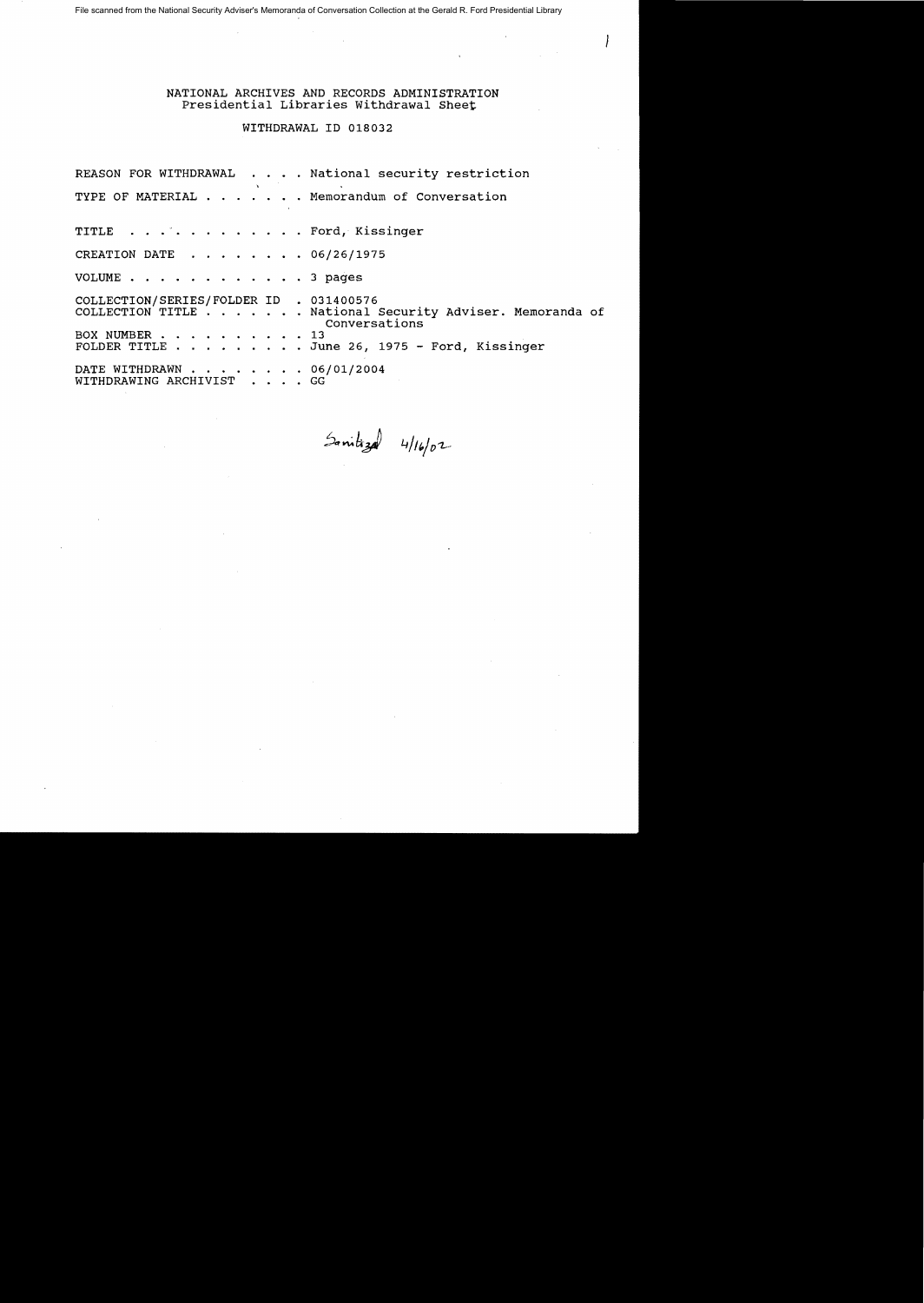File scanned from the National Security Adviser's Memoranda of Conversation Collection at the Gerald R. Ford Presidential Library

NATIONAL ARCHIVES AND RECORDS ADMINISTRATION Presidential Libraries Withdrawal Sheet

WITHDRAWAL ID 018032

REASON FOR WITHDRAWAL . . . . National security restriction TYPE OF MATERIAL . . . . . . Memorandum of Conversation TITLE . . . . . . . . . . . . Ford, Kissinger CREATION DATE  $\ldots$   $\ldots$   $\ldots$  06/26/1975 VOLUME . . • • . 3 pages COLLECTION/SERIES/FOLDER ID . 031400576 COLLECTION/SERIES/FOLDER ID . 031400576<br>COLLECTION TITLE . . . . . . National Security Adviser. Memoranda of Conversations<br>13 COLLECTION TITLE . . . . . . . . NAM<br>BOX NUMBER . . . . . . . . . . 13<br>FOIDED TITLE BOX NUMBER . . . . . . . . . 13<br>FOLDER TITLE . . . . . . . . June 26, 1975 - Ford, Kissinger DATE WITHDRAWN . . . . . . . . 06/01/2004 WITHDRAWING ARCHIVIST . . . • GG

 $5$ mitizal 4/16/02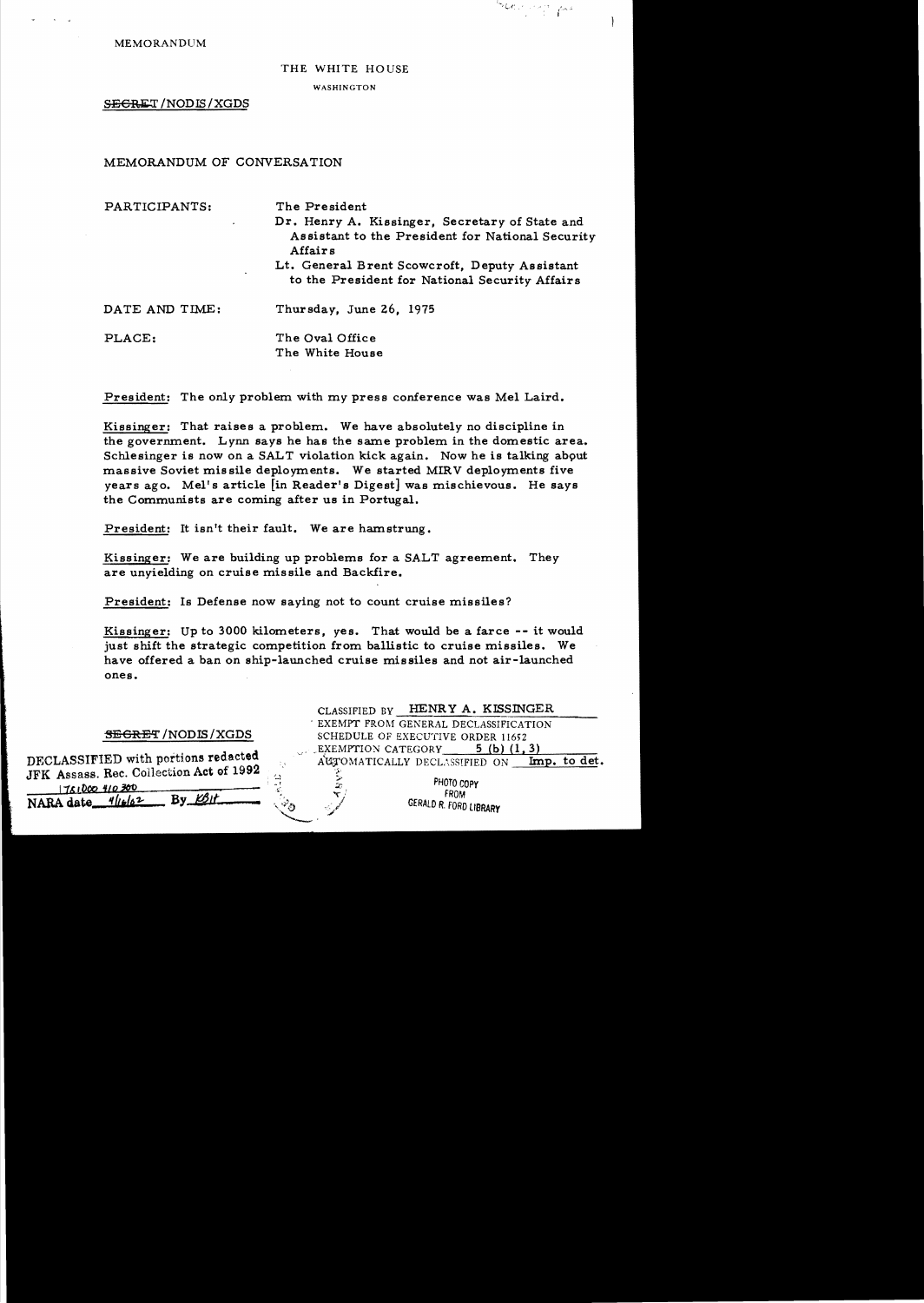#### THE WHITE HOUSE

Service Com

**WASHINGTON** 

SEGRET/NODIS/XGDS

MEMORANDUM OF CONVERSATION

PARTICIPANTS: The President Dr. Henry A. Kissinger, Secretary of State and Assistant to the President for National Security **Affairs** Lt. General Brent Scowcroft, Deputy Assistant to the President for National Security Affairs DATE AND TIME: Thursday, June 26, 1975 PLACE: The Oval Office The White House

President: The only problem with my press conference was Mel Laird.

Kissinger: That raises a problem. We have absolutely no discipline in the government. Lynn says he has the same problem in the domestic area. Schlesinger is now on a SALT violation kick again. Now he is talking about massive Soviet missile deployments. We started MIRV deployments five years ago. Mel's article [in Reader's Digest] was mischievous. He says the Communists are coming after us in Portugal.

President: It isn't their fault. We are hamstrung.

Kissinger: We are building up problems for a SALT agreement. They are unyielding on cruise missile and Backfire.

President: Is Defense now saying not to count cruise missiles?

Kissinger: Up to 3000 kilometers, yes. That would be a farce -- it would just shift the strategic competition from ballistic to cruise missiles. We have offered a ban on ship-launched cruise missiles and not air-launched ones.

### **SEGRET/NODIS/XGDS**

DECLASSIFIED with portions redacted JFK Assass. Rec. Collection Act of 1992 1751000 410 300

NARA date\_1/16/62  $By$   $E5$ 

HENRY A. KISSINGER CLASSIFIED BY EXEMPT FROM GENERAL DECLASSIFICATION SCHEDULE OF EXECUTIVE ORDER 11652 EXEMPTION CATEGORY 5 (b)  $(1, 3)$ AUTOMATICALLY DECLASSIFIED ON Imp. to det.

> PHOTO COPY FROM GERALD R. FORD LIBRARY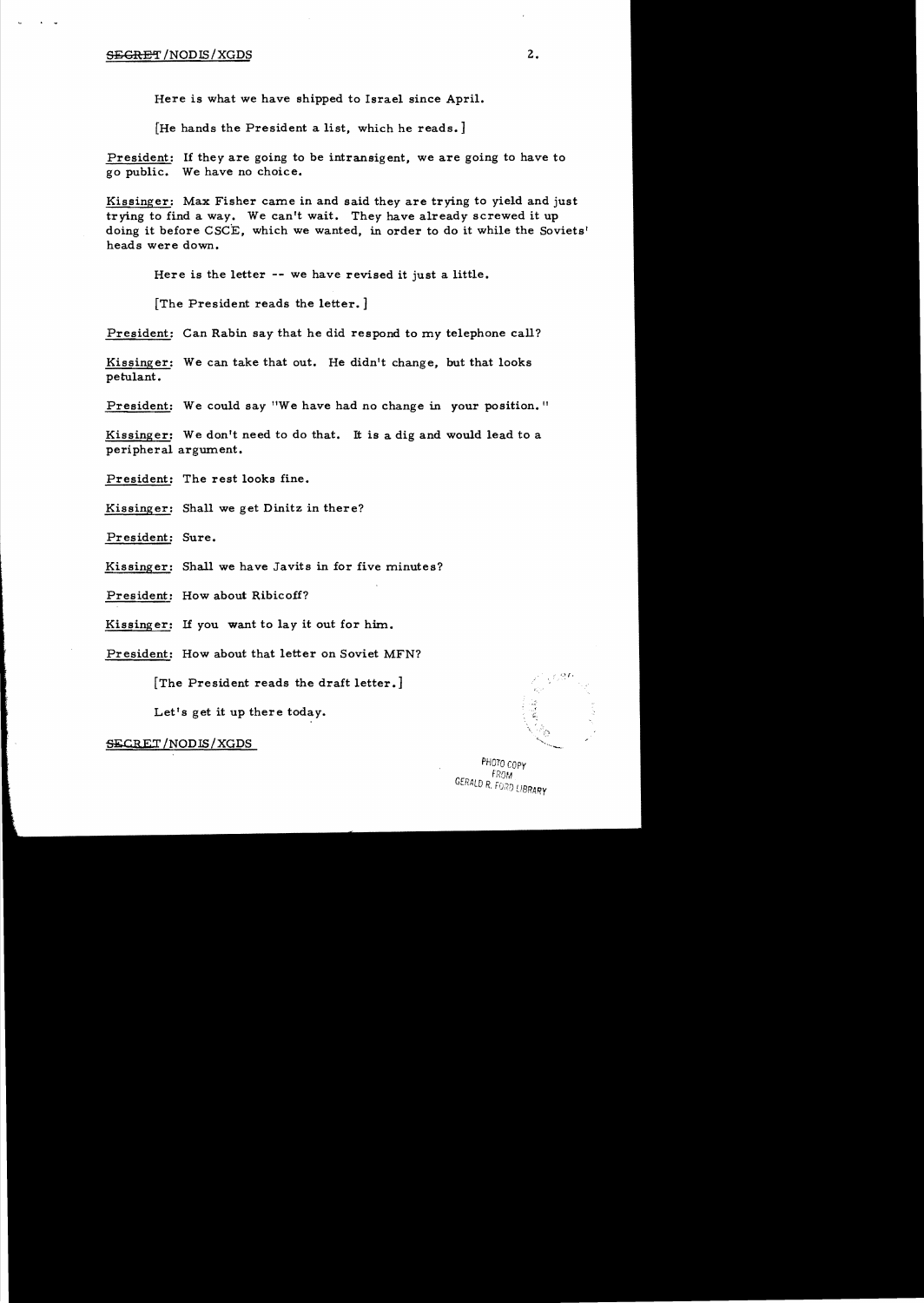## SECRET/NODIS/XGDS 2.

Here is what we have shipped to Israel since April.

[He hands the President a list, which he reads.]

President: If they are going to be intransigent, we are going to have to go public. We have no choice.

Kissinger: Max Fisher came in and said they are trying to yield and just trying to find a way. We can't wait. They have already screwed it up doing it before CSCE, which we wanted, in order to do it while the Soviets' heads were down.

Here is the letter -- we have revised it just a little.

[The President reads the letter. ]

President: Can Rabin say that he did respond to my telephone call?

Kissinger: We can take that out. He didn't change, but that looks petulant.

President: We could say "We have had no change in your position."

Kissinger: We don't need to do that. It is a dig and would lead to a peripheral argument.

President: The rest looks fine.

Kissinger: Shall we get Dinitz in there?

President: Sure.

Kissinger: Shall we have Javits in for five minutes?

President: How about Ribicoff?

Kissinger: If you want to lay it out for him.

President: How about that letter on Soviet MFN?

[The President reads the draft letter.]

Let's get it up there today.

SECRET /NODIS/XGDS

PHOTO COPY FROM GERALD R. FORD LIBRARY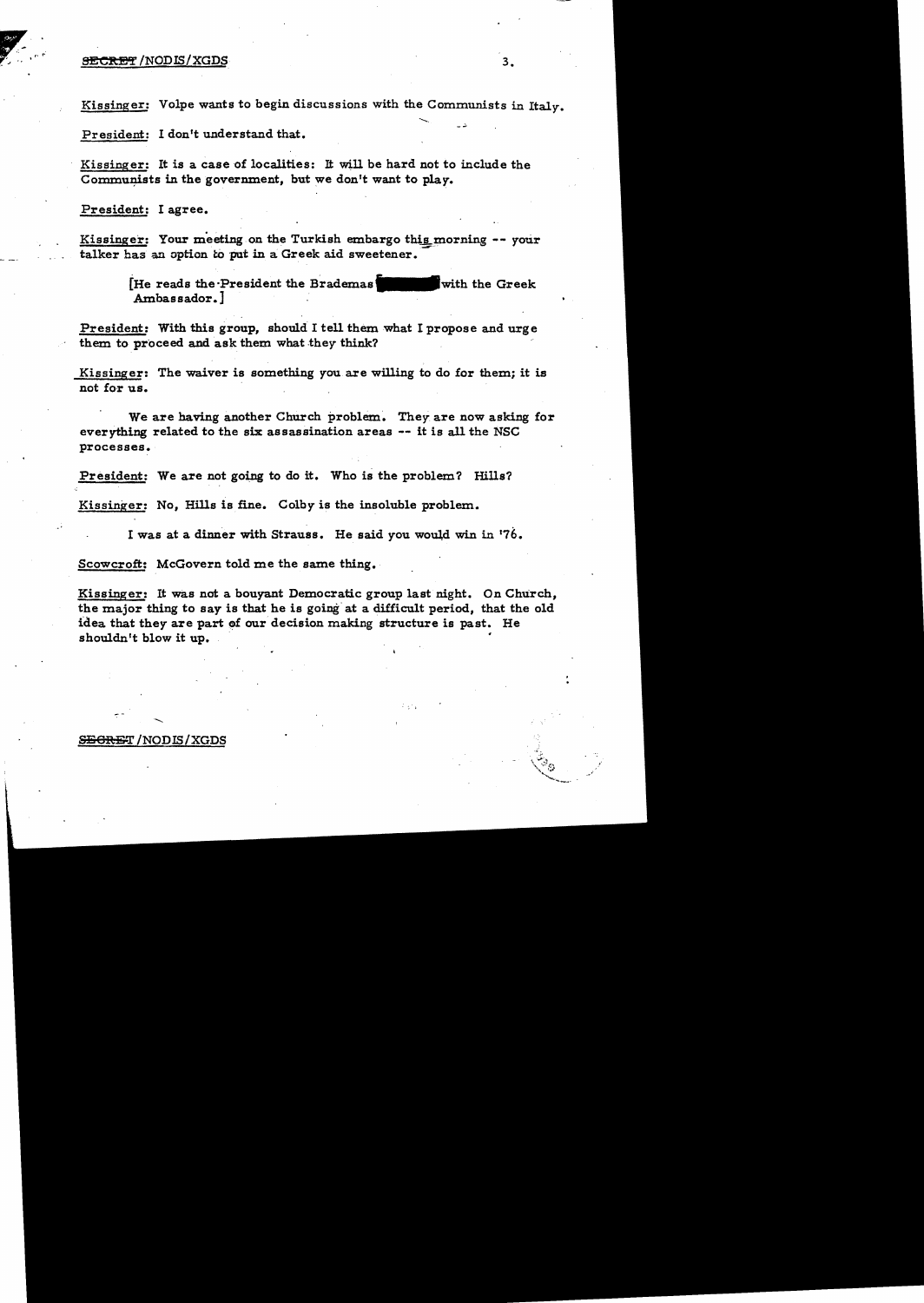#### SECRET /NODIS/XGDS **3.** 3.

Kissinger: Volpe wants to begin discussions with the Communists in Italy.

President: I don't understand that.

Kissinger: It is a case of localities: It will be hard not to include the Communists in the government, but we don't want to play.

President: I agree.

Kissinger: Your meeting on the Turkish embargo this morning -- your talker has an option to put in a Greek aid sweetener.

> [He reads the President the Brademas with the Greek] Ambassador.] .

President: With this group, should I tell them what I propose and urge them to proceed and ask them what they think?

Kissinger: The waiver is something you are willing to do for them; it is not for us.

We are having another Church problem. They are now asking for everything related to the six assassination areas -- it is all the NSC processes.

President: We are not going to do it. Who is the problem? Hills?

Kissinger: No, Hills is fine. Colby is the insoluble problem.

I was at a dinner with Strauss. He said you would win in '76.

Scowcroft: McGovern told me the same thing.

Kissinger: It was not a bouyant Democratic group last night. On ChUrch, the major thing to say is that he is going" at a difficult period, that the old idea that they are part of our decision making structure is past. He shouldn't blow it up.

#### SEGRET / NODIS / XGDS

.......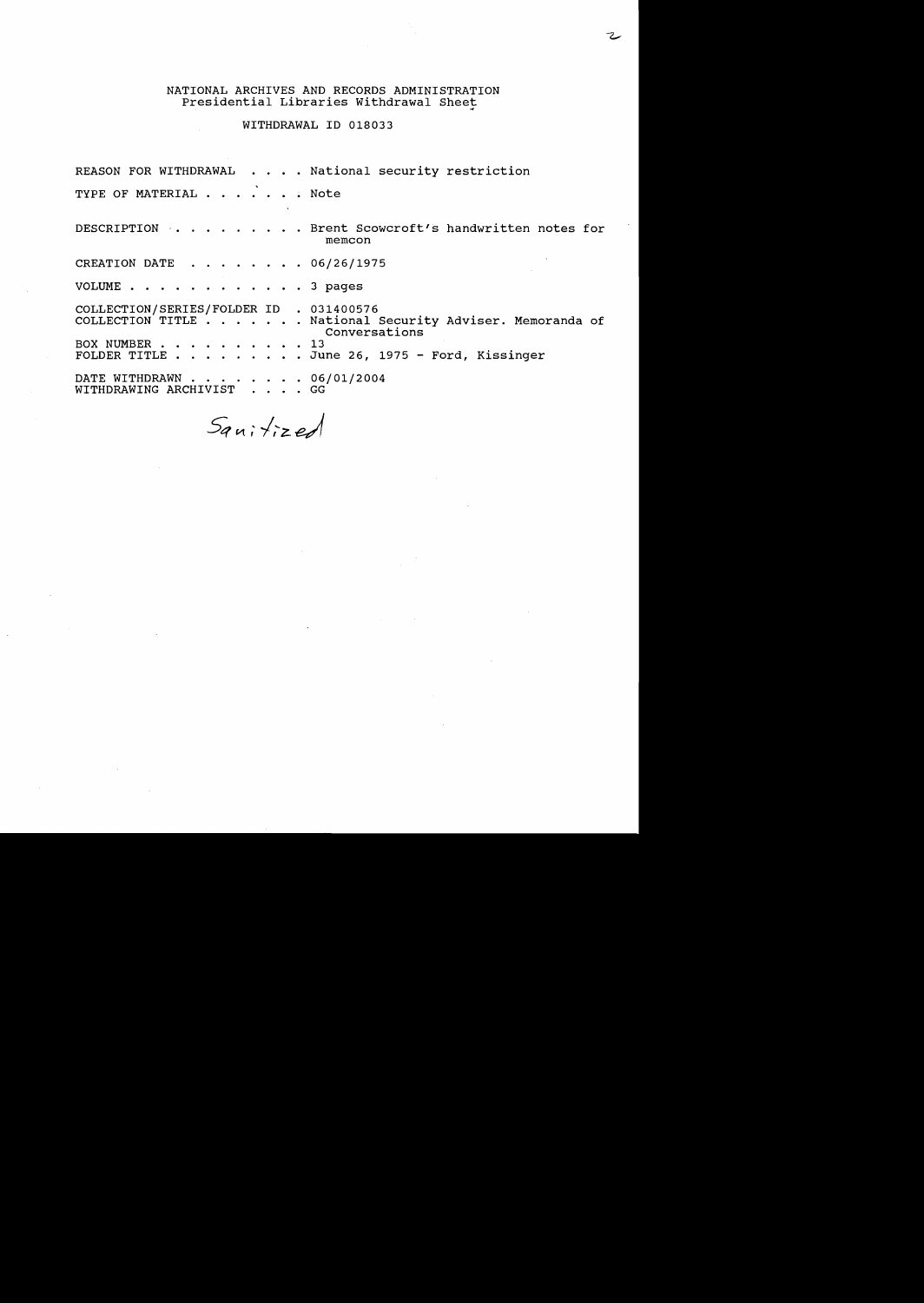# NATIONAL ARCHIVES AND RECORDS ADMINISTRATION IISMID INCHIVES IND RECORDS IDITINISTINII.<br>Presidential Libraries Withdrawal Sheet

WITHDRAWAL ID 018033

REASON FOR WITHDRAWAL . . . . National security restriction TYPE OF MATERIAL  $\cdots$   $\cdots$   $\cdots$  Note DESCRIPTION . . . . . . . . . Brent Scowcroft's handwritten notes for memcon CREATION DATE . . . . . . . 06/26/1975 VOLUME . . . . . . . . . . . . 3 pages COLLECTION/SERIES/FOLDER ID . 031400576 COLLECTION TITLE . . . . . . National Security Adviser. Memoranda of Conversations<br>13 COLLECTION TITLE . . . . . . . . National Security Adviser. Memor<br>Conversations<br>FOLDER TITLE . . . . . . . . . June 26, 1975 - Ford, Kissinger DATE WITHDRAWN . . . . . . . 06/01/2004 WITHDRAWING ARCHIVIST . . . . GG

Sanitized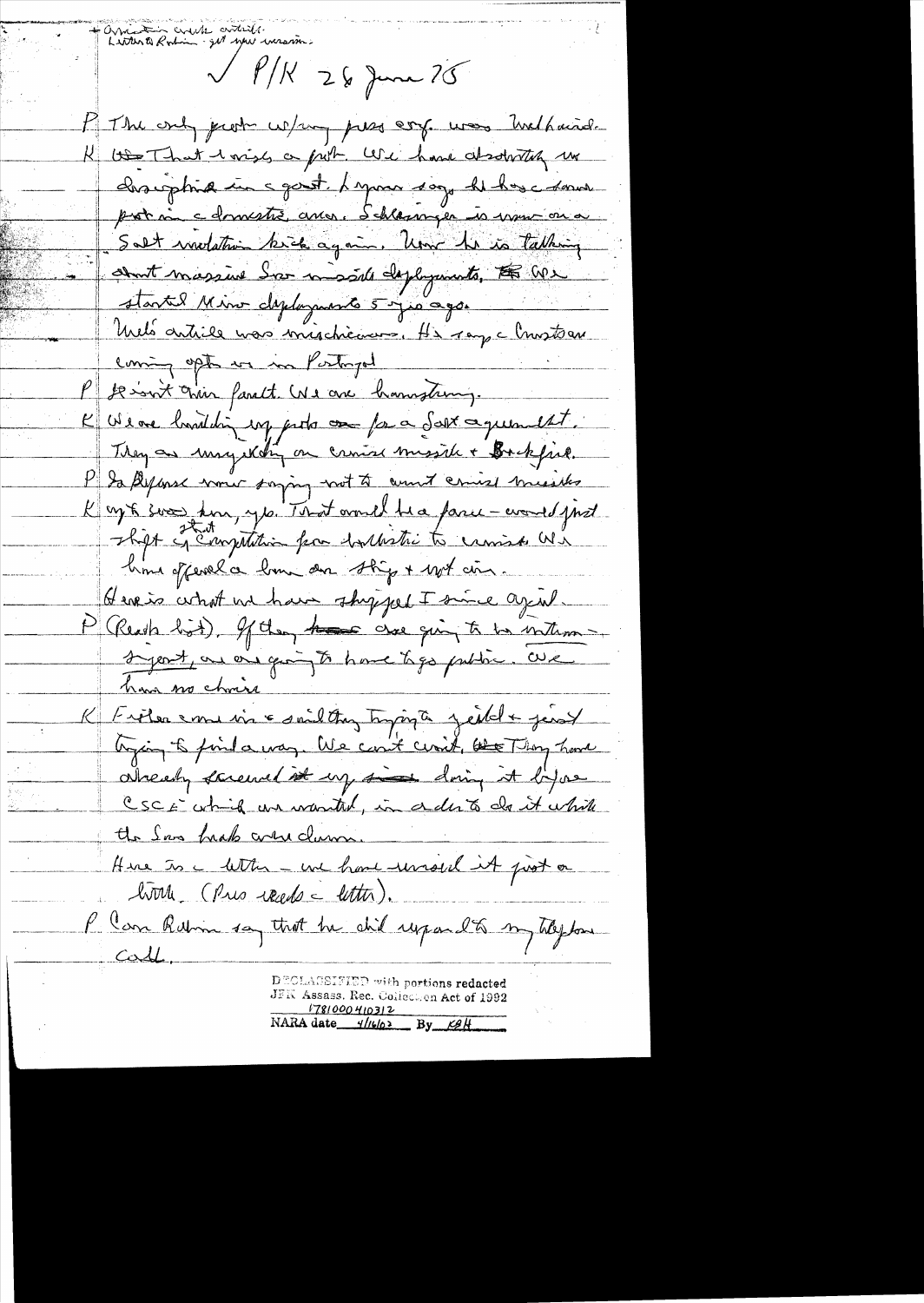Window Crack antille w wraim  $\sqrt{\frac{\rho}{K}}$  26 June 75 Mr The only ject w/my pass corp. was twelhaind. K to That wish a put . We have absolutely we chargetina in sport. Lapon soy he has a some pat ni cdomestre aves. Schlamper is vous on a Salt molation kick again. Une he is talking about massive for mosale deployments, the We started Minor diployments 5 y 10 0 go. Unels article was inischiennes. He ray a l'insteau coming opts we in Postingel P se int crim fant. We are hamptung. K We are loved din up pets on fa a Sast aquement. They as my kolin on cruise missile + Bockfiel. P la Alpense nome saying not to count comise missiles K up & soo kin, yo. That would be a farce - would just shipt in Emptition from horthestic to camina Wi home offered a low an ship + with ain. Here is what we have shy jeel I since agent. P (Reach list). If they have one ging to be interm-Syeat, an one going to have type public. We have no choir K Frêter emersione saidatan typique jeilet jeust trying to find a way. We could conit, the Thong have already screened it up in doing it by a CSCE which we wanted, in a dirts do it while the San heads were clam. Hire to a letter - une have removed it post on home (Pres reads - letter). P Can Robin say that he shil respondts my tileplan  $CovL$ DECLASSIFIED with portions redacted JFK Assass. Rec. Collection Act of 1992 1781000410312 NARA date  $\frac{4}{1602}$  By  $\frac{124}{120}$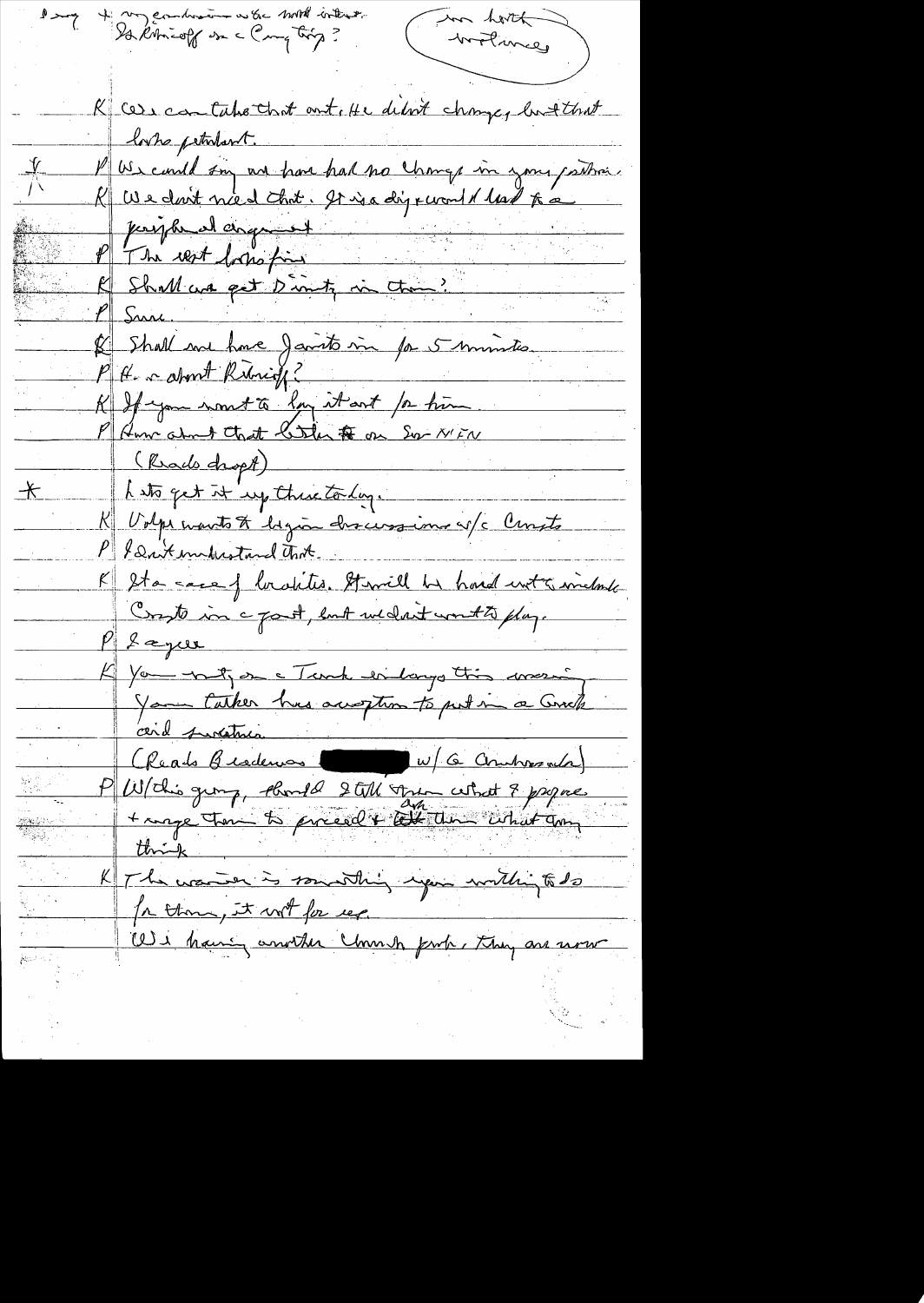l'emp + my combinaire en les motels interesté in horth Wohney K case contaboration time debut change, butthat looks petrolant. V US cand son un hom had no change in jour partier.<br>K We dont nied that . It is a digrevent it had to a  $-\frac{V}{\sqrt{2}}$ princes dangent & Shall me home Jamits mi par 5 minutes  $\mathbb{K}$ K If you wont to long it ant for him<br>P Ann adout Ctrat Color to on Sor NEN  $-\hspace{-0.1cm}\nmid$ P & Drit indicational that. K 2ta sace of localities. Stamill has hard unt & include  $\nu$  fague You not an Fank enlarge this arrain en Cheads Beaders 1 W/G Combres and and surcetures. K The warren is something upon within to do  $\frac{1}{2}$